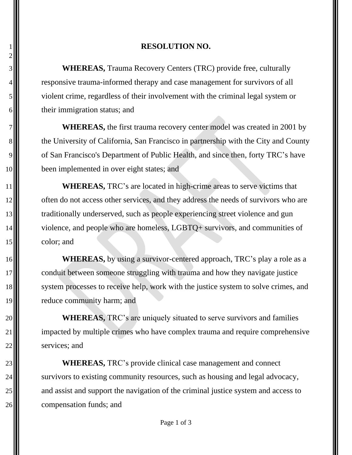## 1 **RESOLUTION NO.**

3 **WHEREAS,** Trauma Recovery Centers (TRC) provide free, culturally 4. The responsive trauma-informed therapy and case management for survivors of all 5 violent crime, regardless of their involvement with the criminal legal system or 6. their immigration status; and

**WHEREAS,** the first trauma recovery center model was created in 2001 by 8. the University of California, San Francisco in partnership with the City and County 9. of San Francisco's Department of Public Health, and since then, forty TRC's have 10 **been** implemented in over eight states; and

11 **WHEREAS,** TRC's are located in high-crime areas to serve victims that 12 often do not access other services, and they address the needs of survivors who are 13 traditionally underserved, such as people experiencing street violence and gun 14 $\parallel$  violence, and people who are homeless, LGBTQ+ survivors, and communities of 15 color; and

16 **WHEREAS**, by using a survivor-centered approach, TRC's play a role as a 17 conduit between someone struggling with trauma and how they navigate justice 18 system processes to receive help, work with the justice system to solve crimes, and 19 reduce community harm; and

20 **WHEREAS**, TRC's are uniquely situated to serve survivors and families 21  $\parallel$  impacted by multiple crimes who have complex trauma and require comprehensive  $22$   $\blacksquare$  services; and

 **WHEREAS,** TRC's provide clinical case management and connect  $\blacksquare$  survivors to existing community resources, such as housing and legal advocacy,  $\parallel$  and assist and support the navigation of the criminal justice system and access to **compensation funds**; and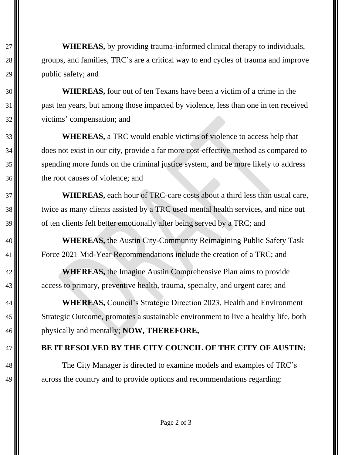**WHEREAS,** by providing trauma-informed clinical therapy to individuals, 28  $\parallel$  groups, and families, TRC's are a critical way to end cycles of trauma and improve || public safety; and

 **WHEREAS,** four out of ten Texans have been a victim of a crime in the past ten years, but among those impacted by violence, less than one in ten received victims' compensation; and

 **WHEREAS,** a TRC would enable victims of violence to access help that  $\blacksquare$  does not exist in our city, provide a far more cost-effective method as compared to  $\blacksquare$  spending more funds on the criminal justice system, and be more likely to address 36 the root causes of violence; and

 **WHEREAS,** each hour of TRC-care costs about a third less than usual care, 38 twice as many clients assisted by a TRC used mental health services, and nine out 39  $\blacksquare$  of ten clients felt better emotionally after being served by a TRC; and

 **WHEREAS,** the Austin City-Community Reimagining Public Safety Task **Force 2021 Mid-Year Recommendations include the creation of a TRC; and** 

 **WHEREAS,** the Imagine Austin Comprehensive Plan aims to provide 43. access to primary, preventive health, trauma, specialty, and urgent care; and

 **WHEREAS,** Council's Strategic Direction 2023, Health and Environment Strategic Outcome, promotes a sustainable environment to live a healthy life, both physically and mentally; **NOW, THEREFORE,**

## **BE IT RESOLVED BY THE CITY COUNCIL OF THE CITY OF AUSTIN:**

48  $\parallel$  The City Manager is directed to examine models and examples of TRC's across the country and to provide options and recommendations regarding: